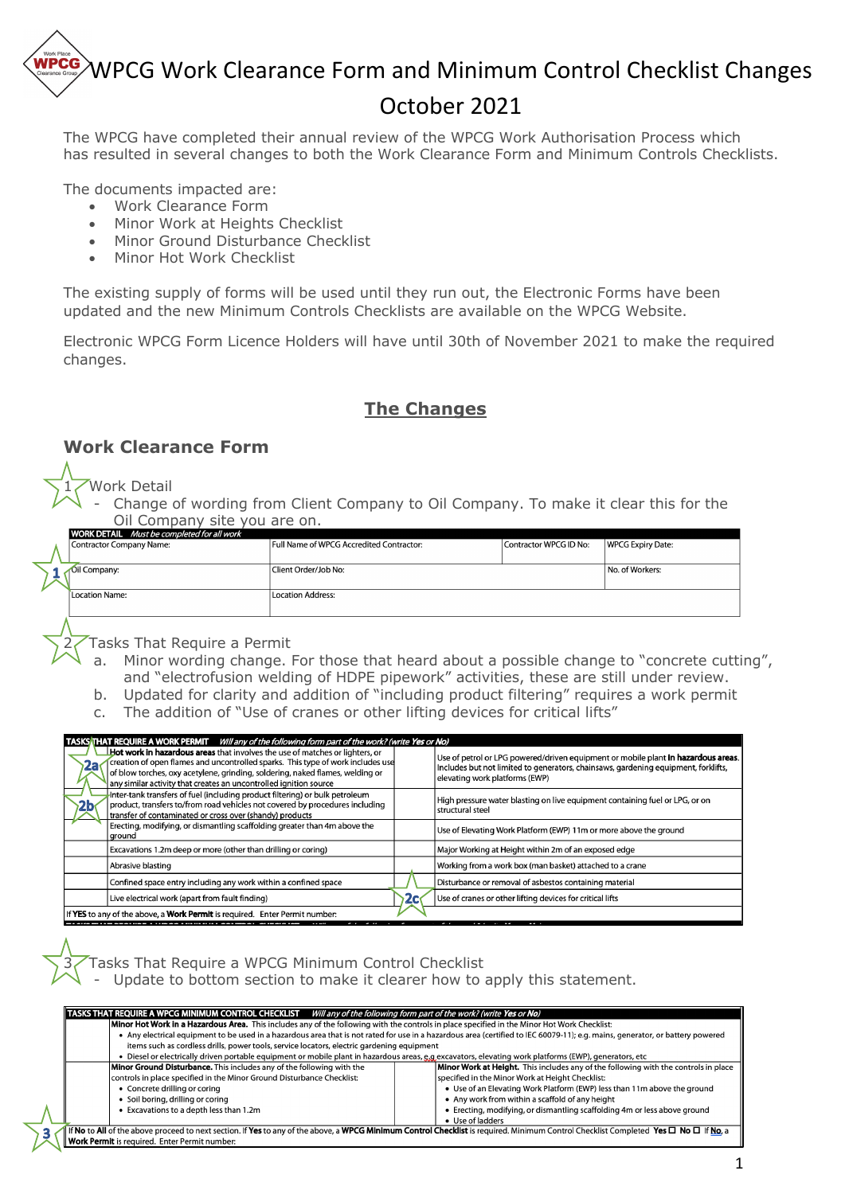# WPCG Work Clearance Form and Minimum Control Checklist Changes

# October 2021

The WPCG have completed their annual review of the WPCG Work Authorisation Process which has resulted in several changes to both the Work Clearance Form and Minimum Controls Checklists.

The documents impacted are:

- Work Clearance Form
- Minor Work at Heights Checklist
- Minor Ground Disturbance Checklist
- Minor Hot Work Checklist

The existing supply of forms will be used until they run out, the Electronic Forms have been updated and the new Minimum Controls Checklists are available on the WPCG Website.

Electronic WPCG Form Licence Holders will have until 30th of November 2021 to make the required changes.

#### **The Changes**

#### **Work Clearance Form**

#### 1 Work Detail

Change of wording from Client Company to Oil Company. To make it clear this for the Oil Company site you are on.

| <b>WORK DETAIL</b> Must be completed for all work |                                          |                        |                          |
|---------------------------------------------------|------------------------------------------|------------------------|--------------------------|
| Contractor Company Name:                          | Full Name of WPCG Accredited Contractor: | Contractor WPCG ID No: | <b>WPCG Expiry Date:</b> |
|                                                   |                                          |                        |                          |
|                                                   |                                          |                        |                          |
| Oil Company:                                      | Client Order/Job No:                     |                        | No. of Workers:          |
|                                                   |                                          |                        |                          |
|                                                   |                                          |                        |                          |
| Location Name:                                    | <b>Location Address:</b>                 |                        |                          |
|                                                   |                                          |                        |                          |
|                                                   |                                          |                        |                          |
|                                                   |                                          |                        |                          |

Tasks That Require a Permit

- a. Minor wording change. For those that heard about a possible change to "concrete cutting", and "electrofusion welding of HDPE pipework" activities, these are still under review.
- b. Updated for clarity and addition of "including product filtering" requires a work permit
- c. The addition of "Use of cranes or other lifting devices for critical lifts"

|    | TASKS THAT REQUIRE A WORK PERMIT Will any of the following form part of the work? (write Yes or No)                                                                                                                                                                                                                   |    |                                                                                                                                                                                                           |  |  |  |
|----|-----------------------------------------------------------------------------------------------------------------------------------------------------------------------------------------------------------------------------------------------------------------------------------------------------------------------|----|-----------------------------------------------------------------------------------------------------------------------------------------------------------------------------------------------------------|--|--|--|
| 2a | Hot work in hazardous areas that involves the use of matches or lighters, or<br>creation of open flames and uncontrolled sparks. This type of work includes use<br>of blow torches, oxy acetylene, grinding, soldering, naked flames, welding or<br>any similar activity that creates an uncontrolled ignition source |    | Use of petrol or LPG powered/driven equipment or mobile plant in hazardous areas.<br>Includes but not limited to generators, chainsaws, gardening equipment, forklifts,<br>elevating work platforms (EWP) |  |  |  |
|    | Inter-tank transfers of fuel (including product filtering) or bulk petroleum<br>product, transfers to/from road vehicles not covered by procedures including<br>transfer of contaminated or cross over (shandy) products                                                                                              |    | High pressure water blasting on live equipment containing fuel or LPG, or on<br>structural steel                                                                                                          |  |  |  |
|    | Erecting, modifying, or dismantling scaffolding greater than 4m above the<br>ground                                                                                                                                                                                                                                   |    | Use of Elevating Work Platform (EWP) 11m or more above the ground                                                                                                                                         |  |  |  |
|    | Excavations 1.2m deep or more (other than drilling or coring)                                                                                                                                                                                                                                                         |    | Major Working at Height within 2m of an exposed edge                                                                                                                                                      |  |  |  |
|    | Abrasive blasting                                                                                                                                                                                                                                                                                                     |    | Working from a work box (man basket) attached to a crane                                                                                                                                                  |  |  |  |
|    | Confined space entry including any work within a confined space                                                                                                                                                                                                                                                       |    | Disturbance or removal of asbestos containing material                                                                                                                                                    |  |  |  |
|    | Live electrical work (apart from fault finding)                                                                                                                                                                                                                                                                       | 2c | Use of cranes or other lifting devices for critical lifts                                                                                                                                                 |  |  |  |
|    | If YES to any of the above, a Work Permit is required. Enter Permit number:                                                                                                                                                                                                                                           |    |                                                                                                                                                                                                           |  |  |  |
|    |                                                                                                                                                                                                                                                                                                                       |    |                                                                                                                                                                                                           |  |  |  |

Tasks That Require a WPCG Minimum Control Checklist

Update to bottom section to make it clearer how to apply this statement.

|                                                      | TASKS THAT REQUIRE A WPCG MINIMUM CONTROL CHECKLIST Will any of the following form part of the work? (write Yes or No)                                                                         |                                                                                                                                                                                |  |  |  |  |  |
|------------------------------------------------------|------------------------------------------------------------------------------------------------------------------------------------------------------------------------------------------------|--------------------------------------------------------------------------------------------------------------------------------------------------------------------------------|--|--|--|--|--|
|                                                      | Minor Hot Work in a Hazardous Area. This includes any of the following with the controls in place specified in the Minor Hot Work Checklist:                                                   |                                                                                                                                                                                |  |  |  |  |  |
|                                                      |                                                                                                                                                                                                | • Any electrical equipment to be used in a hazardous area that is not rated for use in a hazardous area (certified to IEC 60079-11); e.g. mains, generator, or battery powered |  |  |  |  |  |
|                                                      | items such as cordless drills, power tools, service locators, electric gardening equipment                                                                                                     |                                                                                                                                                                                |  |  |  |  |  |
|                                                      | • Diesel or electrically driven portable equipment or mobile plant in hazardous areas, e.g excavators, elevating work platforms (EWP), generators, etc                                         |                                                                                                                                                                                |  |  |  |  |  |
|                                                      | Minor Ground Disturbance. This includes any of the following with the                                                                                                                          | Minor Work at Height. This includes any of the following with the controls in place                                                                                            |  |  |  |  |  |
|                                                      | controls in place specified in the Minor Ground Disturbance Checklist:                                                                                                                         | specified in the Minor Work at Height Checklist:                                                                                                                               |  |  |  |  |  |
|                                                      | • Concrete drilling or coring                                                                                                                                                                  | . Use of an Elevating Work Platform (EWP) less than 11m above the ground                                                                                                       |  |  |  |  |  |
|                                                      | • Soil boring, drilling or coring                                                                                                                                                              | • Any work from within a scaffold of any height                                                                                                                                |  |  |  |  |  |
|                                                      | • Excavations to a depth less than 1.2m                                                                                                                                                        | • Erecting, modifying, or dismantling scaffolding 4m or less above ground                                                                                                      |  |  |  |  |  |
|                                                      |                                                                                                                                                                                                | • Use of ladders                                                                                                                                                               |  |  |  |  |  |
|                                                      | If No to All of the above proceed to next section. If Yes to any of the above, a WPCG Minimum Control Checklist is required. Minimum Control Checklist Completed Yes $\Box$ No $\Box$ If No, a |                                                                                                                                                                                |  |  |  |  |  |
| <b>Work Permit</b> is required. Enter Permit number: |                                                                                                                                                                                                |                                                                                                                                                                                |  |  |  |  |  |